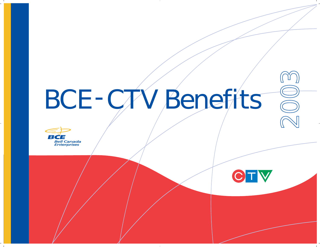# **BCE -CTV Benefits**





**2003**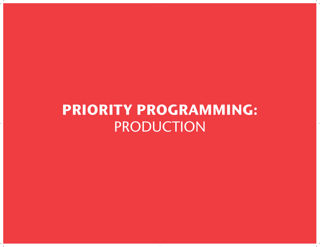# **PRIORITY PROGRAMMING:** PRODUCTION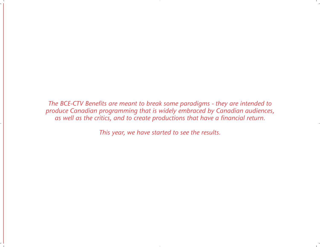*The BCE-CTV Benefits are meant to break some paradigms - they are intended to produce Canadian programming that is widely embraced by Canadian audiences, as well as the critics, and to create productions that have a financial return.* 

*This year, we have started to see the results.*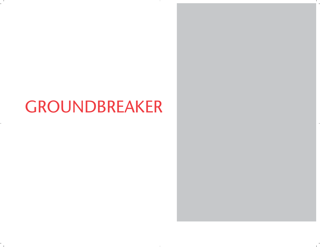# **GROUNDBREAKER**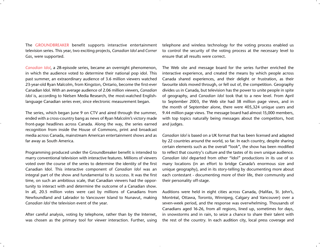The GROUNDBREAKER benefit supports interactive entertainment television series. This year, two exciting projects, *Canadian Idol* and *Corner Gas*, were supported.

*Canadian Idol*, a 28-episode series, became an overnight phenomenon, in which the audience voted to determine their national pop idol. This past summer, an extraordinary audience of 3.6 million viewers watched 23-year-old Ryan Malcolm, from Kingston, Ontario, become the first-ever Canadian Idol. With an average audience of 2.06 million viewers, *Canadian Idol* is, according to Nielsen Media Research, the most-watched Englishlanguage Canadian series ever, since electronic measurement began.

The series, which began June 9 on CTV and aired through the summer, ended with a cross-country bang as news of Ryan Malcolm's victory made front-page headlines across Canada. Along the way, the series earned recognition from inside the House of Commons, print and broadcast media across Canada, mainstream American entertainment shows and as far away as South America.

Programming produced under the Groundbreaker benefit is intended to marry conventional television with interactive features. Millions of viewers voted over the course of the series to determine the identity of the first Canadian Idol. This interactive component of *Canadian Idol* was an integral part of the show and fundamental to its success. It was the first time, on such an ambitious scale, that Canadian viewers had the opportunity to interact with and determine the outcome of a Canadian show. In all, 20.5 million votes were cast by millions of Canadians from Newfoundland and Labrador to Vancouver Island to Nunavut, making *Canadian Idol* the television event of the year.

After careful analysis, voting by telephone, rather than by the Internet, was chosen as the primary tool for viewer interaction. Further, using telephone and wireless technology for the voting process enabled us to control the security of the voting process at the necessary level to ensure that all results were correct.

The Web site and message board for the series further enriched the interactive experience, and created the means by which people across Canada shared experiences, and their delight or frustration, as their favourite idols moved through, or fell out of, the competition. Geography divides us in Canada, but television has the power to unite people in spite of geography, and *Canadian Idol* took that to a new level. From April to September 2003, the Web site had 38 million page views, and in the month of September alone, there were 405,324 unique users and 9.44 million page views. The message board had almost 15,000 members, with top topics naturally being messages about the competitors, host and judges.

*Canadian Idol* is based on a UK format that has been licensed and adapted by 22 countries around the world, so far. In each country, despite sharing certain elements such as the overall "look", the show has been modified to reflect that country's culture and the tastes of its own unique audience. *Canadian Idol* departed from other "Idol" productions in its use of so many locations (in an effort to bridge Canada's enormous size and unique geography), and in its story-telling by documenting more about each contestant - documenting more of their life, their community and their personality off-stage.

Auditions were held in eight cities across Canada, (Halifax, St. John's, Montréal, Ottawa, Toronto, Winnipeg, Calgary and Vancouver) over a seven-week period, and the response was overwhelming. Thousands of Canadians aged 16-26, from all regions, lined up, sometimes for days, in snowstorms and in rain, to seize a chance to share their talent with the rest of the country. In each audition city, local press coverage and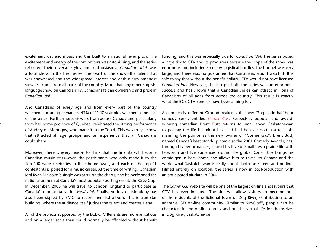excitement was enormous, and this built to a national fever pitch. The excitement and energy of the competitors was astonishing, and the series reflected their diverse styles and enthusiasms. *Canadian Idol* was a local show in the best sense: the heart of the show—the talent that was showcased and the widespread interest and enthusiasm amongst viewers—came from all parts of the country. More than any other Englishlanguage show on Canadian TV, Canadians felt an ownership and pride in *Canadian Idol*.

And Canadians of every age and from every part of the country watched—including teenagers: 43% of 12-17 year-olds watched some part of the series. Furthermore, viewers from across Canada and particularly from her home province of Quebec, celebrated the strong performance of Audrey de Montigny, who made it to the Top 4. This was truly a show that attracted all age groups and an experience that all Canadians could share.

Moreover, there is every reason to think that the finalists will become Canadian music stars—even the participants who only made it to the Top 100 were celebrities in their hometowns, and each of the Top 11 contestants is poised for a music career. At the time of writing, Canadian Idol Ryan Malcolm's single was at #1 on the charts, and he performed the national anthem at Canada's most popular sporting event: the Grey Cup. In December, 2003 he will travel to London, England to participate as Canada's representative in *World Idol*. Finalist Audrey de Montigny has also been signed by BMG to record her first album. This is true star building, where the audience itself judges the talent and creates a star.

All of the projects supported by the BCE-CTV Benefits are more ambitious and on a larger scale than could normally be afforded without benefit funding, and this was especially true for *Canadian Idol*. The series posed a large risk to CTV and its producers because the scope of the show was enormous and included so many logistical hurdles, the budget was very large, and there was no guarantee that Canadians would watch it. It is safe to say that without the benefit dollars, CTV would not have licensed *Canadian Idol*. However, the risk paid off; the series was an enormous success and has shown that a Canadian series can attract millions of Canadians of all ages from across the country. This result is exactly what the BCE-CTV Benefits have been aiming for.

A completely different Groundbreaker is the new 13-episode half-hour comedy series entitled *Corner Gas*. Respected, popular and awardwinning comedian Brent Butt returns to small town Saskatchewan to portray the life he might have led had he ever gotten a real job: manning the pumps as the new owner of "Corner Gas". Brent Butt, named Canada's best stand-up comic at the 2001 Comedy Awards, has, through his performances, shared his love of small town prairie life with television and live audiences around the globe. *Corner Gas* brings his comic genius back home and allows him to reveal to Canada and the world what Saskatchewan is really about—both on screen and on-line. Filmed entirely on location, the series is now in post-production with an anticipated air-date in 2004.

The *Corner Gas* Web site will be one of the largest on-line endeavours that CTV has ever initiated. The site will allow visitors to become one of the residents of the fictional town of Dog River, contributing to an adaptive, 3D on-line community. Similar to SimCity™, people can be characters in the on-line games and build a virtual life for themselves in Dog River, Saskatchewan.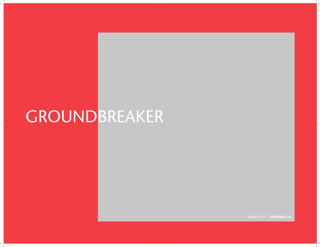# **GROUNDBREAKER**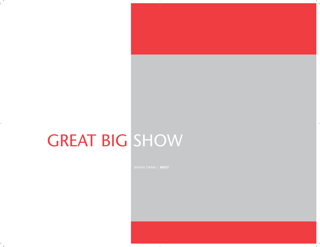# GREAT BIG SHOW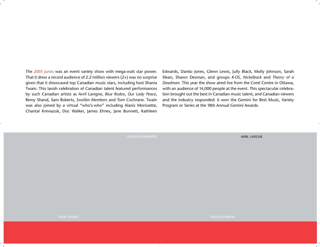The *2003 Junos* was an event variety show with mega-watt star power. That it drew a record audience of 2.2 million viewers (2+) was no surprise given that it showcased top Canadian music stars, including host Shania Twain. This lavish celebration of Canadian talent featured performances by such Canadian artists as Avril Lavigne, *Blue Rodeo*, *Our Lady Peace*, Remy Shand, Sam Roberts, *Swollen Members* and Tom Cochrane. Twain was also joined by a virtual "who's-who" including Alanis Morissette, Chantal Kreviazuk, Doc Walker, James Ehnes, Jane Bunnett, Kathleen Edwards, Danko Jones, Glenn Lewis, Jully Black, Molly Johnson, Sarah Slean, Shawn Desman, and groups *K-OS*, *Nickelback* and *Theory of a Deadman*. This year the show aired live from the Corel Centre in Ottawa, with an audience of 14,000 people at the event. This spectacular celebration brought out the best in Canadian music talent, and Canadian viewers and the industry responded: it won the Gemini for Best Music, Variety Program or Series at the 18th Annual Gemini Awards.

AVRIL LAVIGNE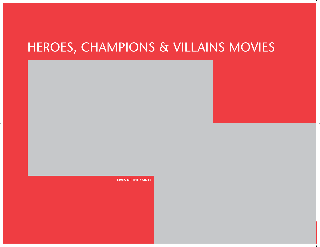## HEROES, CHAMPIONS & VILLAINS MOVIES

**LIVES OF THE SAINTS**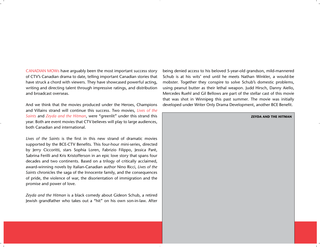CANADIAN MOWs have arguably been the most important success story of CTV's Canadian drama to date, telling important Canadian stories that have struck a chord with viewers. They have showcased powerful acting, writing and directing talent through impressive ratings, and distribution and broadcast overseas.

And we think that the movies produced under the Heroes, Champions and Villains strand will continue this success. Two movies, *Lives of the Saints* and *Zeyda and the Hitman*, were "greenlit" under this strand this year. Both are event movies that CTV believes will play to large audiences, both Canadian and international.

*Lives of the Saints* is the first in this new strand of dramatic movies supported by the BCE-CTV Benefits. This four-hour mini-series, directed by Jerry Ciccoritti, stars Sophia Loren, Fabrizio Filippo, Jessica Paré, Sabrina Ferilli and Kris Kristofferson in an epic love story that spans four decades and two continents. Based on a trilogy of critically acclaimed, award-winning novels by Italian-Canadian author Nino Ricci, *Lives of the Saints* chronicles the saga of the Innocente family, and the consequences of pride, the violence of war, the disorientation of immigration and the promise and power of love.

*Zeyda and the Hitman* is a black comedy about Gideon Schub, a retired Jewish grandfather who takes out a "hit" on his own son-in-law. After being denied access to his beloved 5-year-old grandson, mild-mannered Schub is at his wits' end until he meets Nathan Winkler, a would-be mobster. Together they conspire to solve Schub's domestic problems, using peanut butter as their lethal weapon. Judd Hirsch, Danny Aiello, Mercedes Ruehl and Gil Bellows are part of the stellar cast of this movie that was shot in Winnipeg this past summer. The movie was initially developed under Writer Only Drama Development, another BCE Benefit.

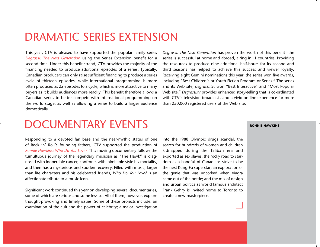## DRAMATIC SERIES EXTENSION

This year, CTV is pleased to have supported the popular family series *Degrassi: The Next Generation* using the Series Extension benefit for a second time. Under this benefit strand, CTV provides the majority of the financing needed to produce additional episodes of a series. Typically, Canadian producers can only raise sufficient financing to produce a series cycle of thirteen episodes, while international programming is more often produced as 22 episodes to a cycle, which is more attractive to many buyers as it builds audiences more readily. This benefit therefore allows a Canadian series to better compete with international programming on the world stage, as well as allowing a series to build a larger audience domestically.

*Degrassi: The Next Generation* has proven the worth of this benefit—the series is successful at home and abroad, airing in 11 countries. Providing the resources to produce nine additional half-hours for its second and third seasons has helped to achieve this success and viewer loyalty. Receiving eight Gemini nominations this year, the series won five awards, including "Best Children's or Youth Fiction Program or Series." The series and its Web site, *degrassi.tv*, won "Best Interactive" and "Most Popular Web site." *Degrassi.tv* provides enhanced story-telling that is co-ordinated with CTV's television broadcasts and a vivid on-line experience for more than 250,000 registered users of the Web site.

## DOCUMENTARY EVENTS

Responding to a devoted fan base and the near-mythic status of one of Rock 'n' Roll's founding fathers, CTV supported the production of *Ronnie Hawkins: Who Do You Love?* This moving documentary follows the tumultuous journey of the legendary musician as "The Hawk" is diagnosed with inoperable cancer, confronts with inimitable style his mortality, and then has a mysterious and sudden recovery. Filled with music, larger than life characters and his celebrated friends, *Who Do You Love?* is an affectionate tribute to a music icon.

Significant work continued this year on developing several documentaries, some of which are serious and some less so. All of them, however, explore thought-provoking and timely issues. Some of these projects include: an examination of the cult and the power of celebrity; a major investigation into the 1988 Olympic drugs scandal; the search for hundreds of women and children kidnapped during the Taliban era and exported as sex slaves; the rocky road to stardom as a handful of Canadians strive to be the next Kung-Fu superstar; an exploration of the genie that was uncorked when Viagra came out of the bottle; and the mix of design and urban politics as world famous architect Frank Gehry is invited home to Toronto to create a new masterpiece.

#### **RONNIE HAWKINS**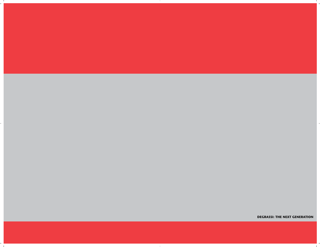**DEGRASSI: THE NEXT GENERATION**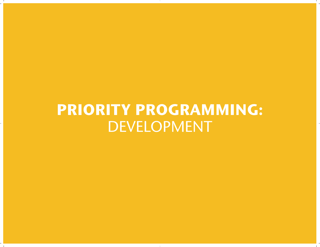# **PRIORITY PROGRAMMING:** DEVELOPMENT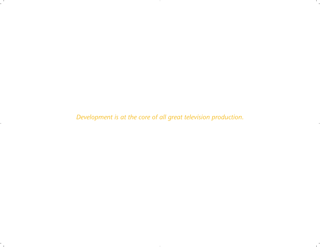*Development is at the core of all great television production.*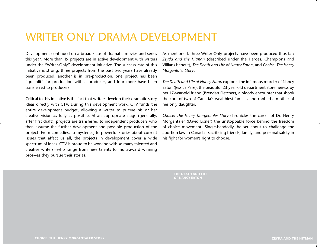## WRITER ONLY DRAMA DEVELOPMENT

Development continued on a broad slate of dramatic movies and series this year. More than 19 projects are in active development with writers under the "Writer-Only" development initiative. The success rate of this initiative is strong: three projects from the past two years have already been produced, another is in pre-production, one project has been "greenlit" for production with a producer, and four more have been transferred to producers.

Critical to this initiative is the fact that writers develop their dramatic story ideas directly with CTV. During this development work, CTV funds the entire development budget, allowing a writer to pursue his or her creative vision as fully as possible. At an appropriate stage (generally, after first draft), projects are transferred to independent producers who then assume the further development and possible production of the project. From comedies, to mysteries, to powerful stories about current issues that affect us all, the projects in development cover a wide spectrum of ideas. CTV is proud to be working with so many talented and creative writers—who range from new talents to multi-award winning pros—as they pursue their stories.

As mentioned, three Writer-Only projects have been produced thus far: *Zeyda and the Hitman* (described under the Heroes, Champions and Villians benefit), *The Death and Life of Nancy Eaton*, and *Choice: The Henry Morgentaler Story*.

*The Death and Life of Nancy Eaton* explores the infamous murder of Nancy Eaton (Jessica Paré), the beautiful 23-year-old department store heiress by her 17-year-old friend (Brendan Fletcher), a bloody encounter that shook the core of two of Canada's wealthiest families and robbed a mother of her only daughter.

*Choice: The Henry Morgentaler Story* chronicles the career of Dr. Henry Morgentaler (David Eisner) the unstoppable force behind the freedom of choice movement. Single-handedly, he set about to challenge the abortion law in Canada—sacrificing friends, family, and personal safety in his fight for women's right to choose.

**THE DEATH AND LIFE OF NANCY EATON**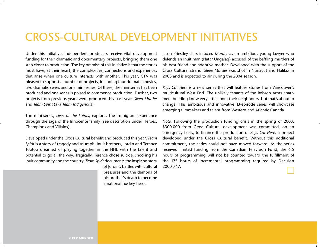## CROSS-CULTURAL DEVELOPMENT INITIATIVES

Under this initiative, independent producers receive vital development funding for their dramatic and documentary projects, bringing them one step closer to production. The key premise of this initiative is that the stories must have, at their heart, the complexities, connections and experiences that arise when one culture interacts with another. This year, CTV was pleased to support a number of projects, including four dramatic movies, two dramatic series and one mini-series. Of these, the mini-series has been produced and one series is poised to commence production. Further, two projects from previous years were produced this past year, *Sleep Murder* and *Team Spirit* (aka *Team Indigenous*).

The mini-series, *Lives of the Saints*, explores the immigrant experience through the saga of the Innocente family (see description under Heroes, Champions and Villains).

Developed under the Cross Cultural benefit and produced this year, *Team Spirit* is a story of tragedy and triumph. Inuit brothers, Jordin and Terence Tootoo dreamed of playing together in the NHL with the talent and potential to go all the way. Tragically, Terence chose suicide, shocking his Inuit community and the country. *Team Spirit* documents the inspiring story

> of Jordin's battles with cultural pressures and the demons of his brother's death to become a national hockey hero.

Jason Priestley stars in *Sleep Murder* as an ambitious young lawyer who defends an Inuit man (Natar Ungalaq) accused of the baffling murders of his best friend and adoptive mother. Developed with the support of the Cross Cultural strand, *Sleep Murder* was shot in Nunavut and Halifax in 2003 and is expected to air during the 2004 season.

*Keys Cut Here* is a new series that will feature stories from Vancouver's multicultural West End. The unlikely tenants of the Robson Arms apartment building know very little about their neighbours–but that's about to change. This ambitious and innovative 13-episode series will showcase emerging filmmakers and talent from Western and Atlantic Canada.

*Note:* Following the production funding crisis in the spring of 2003, \$300,000 from Cross Cultural development was committed, on an emergency basis, to finance the production of *Keys Cut Here*, a project developed under the Cross Cultural benefit. Without this additional commitment, the series could not have moved forward. As the series received limited funding from the Canadian Television Fund, the 6.5 hours of programming will not be counted toward the fulfillment of the 175 hours of incremental programming required by Decision 2000-747.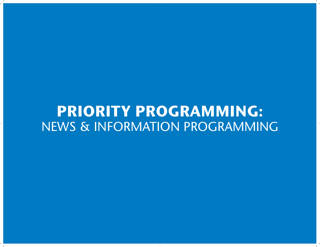## **PRIORITY PROGRAMMING:** NEWS & INFORMATION PROGRAMMING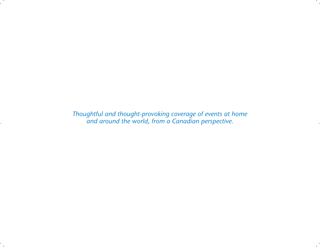*Thoughtful and thought-provoking coverage of events at home and around the world, from a Canadian perspective.*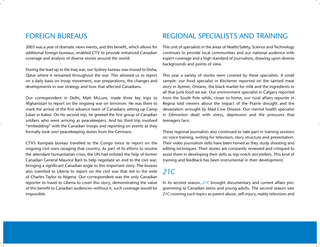### FOREIGN BUREAUS

2003 was a year of dramatic news events, and this benefit, which allows for additional foreign bureaus, enabled CTV to provide enhanced Canadian coverage and analysis of diverse stories around the world.

During the lead up to the Iraq war, our Sydney bureau was moved to Doha, Qatar where it remained throughout the war. This allowed us to report on a daily basis on troop movement, war preparations, the changes and developments in war strategy and how that affected Canadians.

Our correspondent in Delhi, Matt McLure, made three key trips to Afghanistan to report on the ongoing war on terrorism. He was there to mark the arrival of the first advance team of Canadians setting up Camp Julian in Kabul. On his second trip, he greeted the first group of Canadian soldiers who were arriving as peacekeepers. And his third trip involved "embedding" with the Canadian troops and reporting on events as they formally took over peacekeeping duties from the Germans.

CTV's Kampala bureau travelled to the Congo twice to report on the ongoing civil wars ravaging that country. As part of its efforts to resolve the attendant humanitarian crisis, the UN had enlisted the help of former Canadian General Maurice Baril to help negotiate an end to the civil war, bringing a significant Canadian angle to this important story. The bureau also travelled to Liberia to report on the civil war that led to the exile of Charles Taylor to Nigeria. Our correspondent was the only Canadian reporter to travel to Liberia to cover this story, demonstrating the value of this benefit to Canadian audiences–without it, such coverage would be impossible.

### REGIONAL SPECIALISTS AND TRAINING

This unit of specialists in the areas of Health/Safety, Science and Technology continues to provide local communities and our national audience with expert coverage and a high standard of journalism, drawing upon diverse backgrounds and points of view.

This year a variety of stories were covered by these specialists. A small sample: our food specialist in Kitchener reported on the tainted meat story in Aylmer, Ontario, the black market for milk and the ingredients in all that junk food we eat. Our environment specialist in Calgary reported from the South Pole while, closer to home, our rural affairs reporter in Regina told viewers about the impact of the Prairie drought and the devastation wrought by Mad Cow Disease. Our mental health specialist in Edmonton dealt with stress, depression and the pressures that teenagers face.

These regional journalists also continued to take part in training sessions on voice training, writing for television, story structure and presentation. Their video journalism skills have been honed as they study shooting and editing techniques. Their stories are constantly reviewed and critiqued to assist them in developing their skills as top-notch storytellers. This kind of training and feedback has been instrumental in their development.

### *21C*

In its second season, *21C* brought documentary and current affairs programming to Canadian teens and young adults. The second season saw *21C* covering such topics as parent abuse, self-injury, reality television and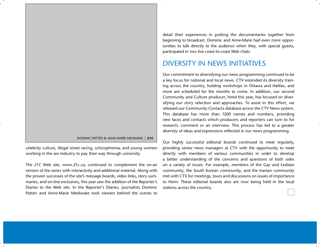

celebrity culture, illegal street racing, schizophrenia, and young women working in the sex industry to pay their way through university.

The *21C* Web site, www.21c.ca, continued to complement the on-air version of the series with interactivity and additional material. Along with the proven successes of the site's message boards, video links, story summaries, and on-line exclusives, this year saw the addition of the Reporter's Diaries to the Web site. In the Reporter's Diaries, journalists Dominic Patten and Anne-Marie Mediwake took viewers behind the scenes to

detail their experiences in putting the documentaries together from beginning to broadcast. Dominic and Anne-Marie had even more opportunities to talk directly to the audience when they, with special guests, participated in two live coast-to-coast Web chats.

### DIVERSITY IN NEWS INITIATIVES

Our commitment to diversifying our news programming continued to be a key focus for national and local news. CTV extended its diversity training across the country, holding workshops in Ottawa and Halifax, and more are scheduled for the months to come. In addition, our second Community and Culture producer, hired this year, has focused on diversifying our story selection and approaches. To assist in this effort, we released our Community Contacts database across the CTV News system. This database has more than 1200 names and numbers, providing new faces and contacts which producers and reporters can turn to for research, comment or an interview. This process has led to a greater diversity of ideas and expressions reflected in our news programming.

Our highly successful editorial boards continued to meet regularly, providing senior news managers at CTV with the opportunity to meet directly with members of various communities in order to develop a better understanding of the concerns and questions of both sides on a variety of issues. For example, members of the Gay and Lesbian community, the South Korean community, and the Iranian community met with CTV for meetings, tours and discussions on issues of importance to them. These editorial boards also are now being held in the local stations across the country.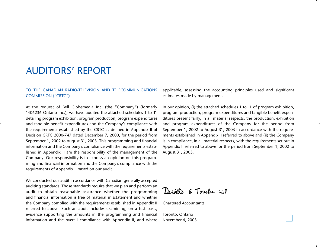### AUDITORS' REPORT

#### TO THE CANADIAN RADIO-TELEVISION AND TELECOMMUNICATIONS COMMISSION ("CRTC")

At the request of Bell Globemedia Inc. (the "Company") (formerly 1406236 Ontario Inc.), we have audited the attached schedules 1 to 11 detailing program exhibition, program production, program expenditures and tangible benefit expenditures and the Company's compliance with the requirements established by the CRTC as defined in Appendix II of Decision CRTC 2000-747 dated December 7, 2000, for the period from September 1, 2002 to August 31, 2003. This programming and financial information and the Company's compliance with the requirements established in Appendix II are the responsibility of the management of the Company. Our responsibility is to express an opinion on this programming and financial information and the Company's compliance with the requirements of Appendix II based on our audit.

We conducted our audit in accordance with Canadian generally accepted auditing standards. Those standards require that we plan and perform an audit to obtain reasonable assurance whether the programming and financial information is free of material misstatement and whether the Company complied with the requirements established in Appendix II referred to above. Such an audit includes examining, on a test basis, evidence supporting the amounts in the programming and financial information and the overall compliance with Appendix II, and where applicable, assessing the accounting principles used and significant estimates made by management.

In our opinion, (i) the attached schedules 1 to 11 of program exhibition, program production, program expenditures and tangible benefit expenditures present fairly, in all material respects, the production, exhibition and program expenditures of the Company for the period from September 1, 2002 to August 31, 2003 in accordance with the requirements established in Appendix II referred to above and (ii) the Company is in compliance, in all material respects, with the requirements set out in Appendix II referred to above for the period from September 1, 2002 to August 31, 2003.

Delotte & Touche LLP

Chartered Accountants

Toronto, Ontario November 4, 2003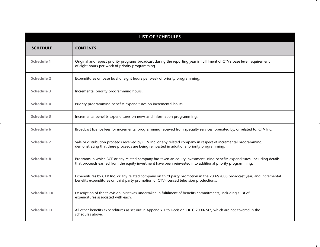| <b>LIST OF SCHEDULES</b> |                                                                                                                                                                                                                                          |  |  |  |
|--------------------------|------------------------------------------------------------------------------------------------------------------------------------------------------------------------------------------------------------------------------------------|--|--|--|
| <b>SCHEDULE</b>          | <b>CONTENTS</b>                                                                                                                                                                                                                          |  |  |  |
| <b>Schedule 1</b>        | Original and repeat priority programs broadcast during the reporting year in fulfilment of CTV's base level requirement<br>of eight hours per week of priority programming.                                                              |  |  |  |
| <b>Schedule 2</b>        | Expenditures on base level of eight hours per week of priority programming.                                                                                                                                                              |  |  |  |
| <b>Schedule 3</b>        | Incremental priority programming hours.                                                                                                                                                                                                  |  |  |  |
| <b>Schedule 4</b>        | Priority programming benefits expenditures on incremental hours.                                                                                                                                                                         |  |  |  |
| Schedule 5               | Incremental benefits expenditures on news and information programming.                                                                                                                                                                   |  |  |  |
| Schedule 6               | Broadcast licence fees for incremental programming received from specialty services operated by, or related to, CTV Inc.                                                                                                                 |  |  |  |
| <b>Schedule 7</b>        | Sale or distribution proceeds received by CTV Inc. or any related company in respect of incremental programming,<br>demonstrating that these proceeds are being reinvested in additional priority programming.                           |  |  |  |
| <b>Schedule 8</b>        | Programs in which BCE or any related company has taken an equity investment using benefits expenditures, including details<br>that proceeds earned from the equity investment have been reinvested into additional priority programming. |  |  |  |
| <b>Schedule 9</b>        | Expenditures by CTV Inc. or any related company on third party promotion in the 2002/2003 broadcast year, and incremental<br>benefits expenditures on third party promotion of CTV-licensed television productions.                      |  |  |  |
| <b>Schedule 10</b>       | Description of the television initiatives undertaken in fulfilment of benefits commitments, including a list of<br>expenditures associated with each.                                                                                    |  |  |  |
| <b>Schedule 11</b>       | All other benefits expenditures as set out in Appendix 1 to Decision CRTC 2000-747, which are not covered in the<br>schedules above.                                                                                                     |  |  |  |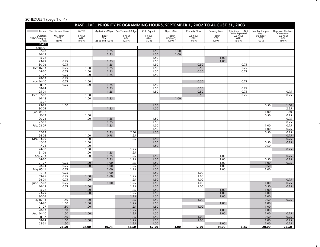#### SCHEDULE 1 (page 1 of 4)

|                                     |                                             |                                                |                         | BASE LEVEL PRIORITY PROGRAMMING HOURS, SEPTEMBER 1, 2002 TO AUGUST 31, 2003 |                        |                             |                                                                                 |                                                                               |                                            |                                               |                                                              |
|-------------------------------------|---------------------------------------------|------------------------------------------------|-------------------------|-----------------------------------------------------------------------------|------------------------|-----------------------------|---------------------------------------------------------------------------------|-------------------------------------------------------------------------------|--------------------------------------------|-----------------------------------------------|--------------------------------------------------------------|
| Repeat                              | The Holmes Show                             | W-FIVE                                         |                         | Mysterious Ways   Sue Thomas F.B. Eye                                       | Cold Squad             | Open Mike                   | Comedy Now                                                                      | Comedy Now                                                                    | This Sitcom Is Not                         | Just For Laughs                               | Degrassi: The Next<br>Generation<br>0.5 hour<br>07A<br>150 % |
|                                     |                                             |                                                |                         |                                                                             |                        |                             |                                                                                 |                                                                               | To Be Repeated<br>0.5 hour<br>07B<br>150 % | Cron Laug<br>Gags<br>0.5 hour<br>07F<br>100 % |                                                              |
| Duration<br>CRTC Category<br>Credit | $0.5~\mathrm{hour} \ 07\mathrm{B}$<br>150 % | $\frac{1 \text{ hour}}{02 \text{ B}}$<br>100 % | $1$ hour $07\text{\AA}$ | 1 hour<br>07A<br>125 %                                                      | 1 hour<br>07A<br>150 % | 1 hour<br>110(MAG)<br>100 % | $\begin{array}{c} 0.5 \text{ hour} \\ 07 \text{F} \\ 100 \text{ %} \end{array}$ | $\begin{array}{c} 1 \text{ hour} \\ 07 \text{F} \\ 100 \text{ %} \end{array}$ |                                            |                                               |                                                              |
| <b>DATE</b>                         |                                             |                                                | 125 % and 100 %         |                                                                             |                        |                             |                                                                                 |                                                                               |                                            |                                               |                                                              |
| Sept. 01                            |                                             |                                                |                         |                                                                             |                        |                             |                                                                                 |                                                                               |                                            |                                               |                                                              |
| $02 - 08$                           |                                             |                                                | 1.25                    |                                                                             | 1.50                   | 1.00                        |                                                                                 |                                                                               |                                            |                                               |                                                              |
| $09-15$                             |                                             |                                                | 1.25                    |                                                                             | 1.50                   | 1.00                        |                                                                                 |                                                                               |                                            |                                               |                                                              |
| $16 - 22$                           |                                             |                                                |                         |                                                                             | $\overline{1.50}$      |                             |                                                                                 | 1.00                                                                          |                                            |                                               |                                                              |
| $23 - 29$                           | 0.75                                        |                                                | 1.25                    |                                                                             | 1.50                   |                             |                                                                                 | 1.00                                                                          |                                            |                                               |                                                              |
| $30 - 06$                           | 0.75                                        |                                                | 1.25                    |                                                                             | 1.50                   |                             | 0.50                                                                            |                                                                               | 0.75                                       |                                               |                                                              |
| Oct. 07-13                          | 0.75                                        | 1.00                                           | 1.25                    |                                                                             | 1.50                   |                             | 0.50                                                                            |                                                                               | 0.75                                       |                                               |                                                              |
| $14 - 20$                           | 0.75                                        | 1.00                                           | 1.25                    |                                                                             | 1.50                   |                             | 0.50                                                                            |                                                                               | 0.75                                       |                                               |                                                              |
| $21 - 27$                           | 0.75                                        | 1.00                                           | 1.25                    |                                                                             | 1.50                   |                             |                                                                                 |                                                                               |                                            |                                               |                                                              |
| 28-03                               | 0.75                                        |                                                |                         |                                                                             |                        |                             |                                                                                 |                                                                               |                                            |                                               |                                                              |
| Nov. 04-10                          | 0.75                                        | 1.00                                           |                         |                                                                             |                        |                             | 0.50                                                                            |                                                                               | 0.75                                       |                                               |                                                              |
| $11 - 17$<br>$18 - 24$              | 0.75                                        | 1.00                                           | 1.25<br>1.25            |                                                                             | 1.50<br>1.50           |                             | 0.50                                                                            |                                                                               | 0.75                                       |                                               |                                                              |
| $25-01$                             |                                             |                                                | 1.25                    |                                                                             | 1.50                   |                             | 0.50                                                                            |                                                                               | 0.75                                       |                                               | 0.75                                                         |
| Dec. 02-08                          |                                             | 1.00                                           |                         |                                                                             |                        |                             | 0.50                                                                            |                                                                               | 0.75                                       |                                               | 0.75                                                         |
| $09-15$                             |                                             | 1.00                                           | 1.25                    |                                                                             |                        | 1.00                        |                                                                                 |                                                                               |                                            |                                               |                                                              |
| $16 - 22$                           |                                             |                                                |                         |                                                                             |                        |                             |                                                                                 |                                                                               |                                            |                                               |                                                              |
| $23 - 29$                           | 1.50                                        |                                                |                         |                                                                             | 1.50                   |                             |                                                                                 |                                                                               |                                            | 0.50                                          | 1.50                                                         |
| $30 - 05$                           |                                             |                                                | 1.25                    |                                                                             | 1.50                   |                             |                                                                                 |                                                                               |                                            |                                               | 2.25                                                         |
| Jan. 06-12                          |                                             |                                                |                         |                                                                             |                        |                             |                                                                                 |                                                                               |                                            | 1.00                                          | $\overline{1.50}$                                            |
| $13-19$                             |                                             | 1.00                                           |                         |                                                                             |                        |                             |                                                                                 |                                                                               |                                            | 0.50                                          | 0.75                                                         |
| $20 - 26$                           |                                             | 1.00                                           | 1.25                    |                                                                             | 1.50                   |                             |                                                                                 |                                                                               |                                            |                                               | 0.75                                                         |
| $27-02$                             |                                             |                                                | 1.25                    |                                                                             | 1.50                   |                             |                                                                                 |                                                                               |                                            |                                               | 0.75                                                         |
| Feb. 03-09                          |                                             |                                                | 1.25                    |                                                                             | 1.50                   |                             |                                                                                 |                                                                               |                                            | 1.00                                          | 0.75                                                         |
| $10-16$<br>$17 - 23$                |                                             |                                                | 1.25                    | 2.50                                                                        | 1.50<br>1.50           |                             |                                                                                 |                                                                               |                                            | 1.00<br>0.50                                  | 0.75<br>0.75                                                 |
| $24-02$                             |                                             | 1.00                                           | 0.98                    | 1.25                                                                        |                        |                             |                                                                                 |                                                                               |                                            |                                               | 0.75                                                         |
| Mar. 03-09                          |                                             | 1.00                                           |                         | 1.25                                                                        | 1.50                   |                             |                                                                                 |                                                                               |                                            |                                               | 0.75                                                         |
| $10-16$                             |                                             | 1.00                                           |                         |                                                                             | 1.50                   |                             |                                                                                 |                                                                               |                                            | 0.50                                          | 0.75                                                         |
| $17 - 23$                           |                                             | 1.00                                           |                         |                                                                             | 1.50                   |                             |                                                                                 |                                                                               |                                            | 0.50                                          |                                                              |
| $24-30$                             |                                             | 1.00                                           |                         | 1.25                                                                        |                        |                             |                                                                                 |                                                                               |                                            |                                               | 0.75                                                         |
| $31 - 06$                           |                                             | 1.00                                           | 1.25                    | 1.25                                                                        |                        |                             |                                                                                 |                                                                               |                                            |                                               |                                                              |
| Apr. 7-13                           |                                             | 1.00                                           | 1.25                    | 1.25                                                                        | 1.50                   |                             |                                                                                 | 1.00                                                                          |                                            |                                               | 0.75                                                         |
| $14 - 20$                           |                                             |                                                | 1.25                    | 1.25                                                                        | 1.50                   |                             |                                                                                 | 1.00                                                                          |                                            | 0.50                                          | 0.75                                                         |
| $21 - 27$                           | 0.75                                        | 1.00                                           | 1.00                    | 1.25                                                                        | 1.50                   |                             |                                                                                 | 1.00                                                                          |                                            | 1.00                                          | 0.75                                                         |
| $28 - 04$                           | 0.75                                        | 1.00                                           | 1.00                    | 1.25                                                                        | 1.50                   |                             |                                                                                 | 1.00                                                                          |                                            | 0.50                                          |                                                              |
| May 05-11<br>$12 - 18$              | 0.75<br>0.75                                |                                                | 1.00<br>1.00            | 1.25                                                                        | 1.50<br>1.50           |                             | 1.00                                                                            | 1.00                                                                          |                                            | 1.00                                          |                                                              |
| $19 - 25$                           | 0.75                                        | 1.00                                           | 1.00                    | 1.25                                                                        | 1.50                   |                             | 1.00                                                                            |                                                                               |                                            |                                               |                                                              |
| $26-01$                             | 0.75                                        | 1.00                                           |                         | 1.25                                                                        | 1.50                   |                             | 1.00                                                                            |                                                                               |                                            |                                               | 0.75                                                         |
| June 02-08                          | 0.75                                        |                                                | 1.00                    | 1.25                                                                        | 1.50                   |                             | 1.00                                                                            |                                                                               |                                            | 1.00                                          | 0.75                                                         |
| $09-15$                             | 0.75                                        | 1.00                                           |                         | 1.25                                                                        | 1.50                   |                             | 1.00                                                                            |                                                                               |                                            | 0.50                                          | 0.75                                                         |
| $16 - 22$                           |                                             | 1.00                                           |                         | 1.25                                                                        | 1.50                   |                             |                                                                                 | 1.00                                                                          |                                            | 1.00                                          |                                                              |
| $23-29$                             |                                             | 1.00                                           |                         | 1.25                                                                        | 1.50                   |                             |                                                                                 | 1.00                                                                          |                                            | 1.00                                          |                                                              |
| $30 - 06$                           |                                             |                                                |                         | 1.25                                                                        | 1.50                   |                             |                                                                                 | 1.00                                                                          |                                            | 1.00                                          |                                                              |
| <b>July 07-13</b>                   | 1.50                                        | 1.00                                           |                         | 1.25                                                                        | 1.50                   |                             | 1.00                                                                            |                                                                               |                                            | 0.50                                          | 0.75                                                         |
| $14 - 20$                           | 1.50                                        | 1.00                                           |                         | 1.25                                                                        | 1.50                   |                             |                                                                                 | 1.00                                                                          |                                            | 1.00                                          |                                                              |
| $21 - 27$                           | 1.50                                        | 1.00                                           |                         | 1.25                                                                        | 1.50                   |                             | 1.00                                                                            |                                                                               |                                            | 1.00                                          |                                                              |
| $28-03$                             | 1.50<br>1.50                                | 1.00                                           |                         | 1.25<br>1.25                                                                | 1.50<br>1.50           |                             |                                                                                 | 1.00<br>1.00                                                                  |                                            | 1.00<br>1.00                                  |                                                              |
| Aug. 04-10<br>$11 - 17$             | 1.50                                        |                                                |                         | 1.25                                                                        | 1.50                   |                             | 1.00                                                                            |                                                                               |                                            | 0.50                                          | 0.75<br>0.75                                                 |
| $18 - 24$                           | 1.50                                        | 1.00                                           |                         | 1.25                                                                        | 1.50                   |                             | 1.00                                                                            |                                                                               |                                            | 1.00                                          | 0.75                                                         |
| $25 - 31$                           | 1.50                                        |                                                |                         | 1.25                                                                        | 1.00                   |                             |                                                                                 | 1.00                                                                          |                                            | 1.00                                          | 0.75                                                         |
|                                     | 25.50                                       | 28.00                                          | 30.73                   | 32.50                                                                       | 62.50                  | 3.00                        | 12.50                                                                           | 14.00                                                                         | $\frac{1}{5.25}$                           | $\frac{1}{20.00}$                             | 22.50                                                        |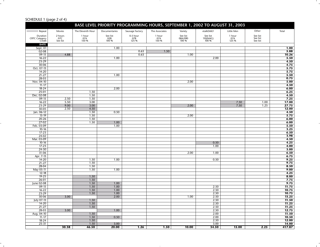#### SCHEDULE 1 (page 2 of 4)

|                         |                 |                         |                         |                                         |                            |                     | BASE LEVEL PRIORITY PROGRAMMING HOURS, SEPTEMBER 1, 2002 TO AUGUST 31, 2003 |              |                      |                            |
|-------------------------|-----------------|-------------------------|-------------------------|-----------------------------------------|----------------------------|---------------------|-----------------------------------------------------------------------------|--------------|----------------------|----------------------------|
| Repeat                  | Movies          | The Eleventh Hour       | Documentaries           | Sausage Factory                         | The Associates             | Variety             | etalkDAILY                                                                  | Little Men   | Other                | Total                      |
| Duration                | $2$ hours $07C$ | $1$ hour $07\text{\AA}$ | See list $02\mathsf{B}$ | $0.5~\mathrm{hour} \over 07 \mathrm{B}$ | $1$ hour<br>$07\text{\AA}$ | See list<br>08A/090 | See list<br>110(MAG)<br>100 %                                               | 1 hour       | See list<br>See list |                            |
| CRTC Category<br>Credit | See list        | 150 %                   | 100 %                   | 125 %                                   | 150 %                      | 100 %               |                                                                             | 07A<br>125 % | See list             |                            |
| <b>DATE</b>             |                 |                         |                         |                                         |                            |                     |                                                                             |              |                      |                            |
| Sept. 01<br>$02 - 08$   |                 |                         | 1.00                    | 0.63                                    | 1.50                       |                     |                                                                             |              |                      | 1.00<br>5.88               |
| $09-15$                 | 4.88            |                         |                         | 0.63                                    |                            | 1.00                |                                                                             |              |                      | 10.26                      |
| $16 - 22$               |                 |                         | 1.00                    |                                         |                            |                     | 2.00                                                                        |              |                      | 5.50                       |
| $23 - 29$               |                 |                         |                         |                                         |                            |                     |                                                                             |              |                      | 4.50                       |
| $30 - 06$               |                 |                         |                         |                                         |                            |                     |                                                                             |              |                      | 4.75                       |
| Oct. 07-13              |                 |                         |                         |                                         |                            |                     |                                                                             |              |                      | 5.75<br>$\overline{5.75}$  |
| $14 - 20$<br>$21 - 27$  |                 |                         | 1.00                    |                                         |                            |                     |                                                                             |              |                      | 5.50                       |
| $28-03$                 |                 |                         |                         |                                         |                            |                     |                                                                             |              |                      | 0.75                       |
| Nov. 04-10              |                 |                         |                         |                                         |                            | 2.00                |                                                                             |              |                      | 5.00                       |
| $11 - 17$               |                 |                         |                         |                                         |                            |                     |                                                                             |              |                      | 4.50                       |
| $18 - 24$               |                 |                         | 2.00                    |                                         |                            |                     |                                                                             |              |                      | 6.00                       |
| $25-01$<br>Dec. 02-08   |                 | 1.50<br>1.50            |                         |                                         |                            |                     |                                                                             |              |                      | 6.25<br>$\frac{312}{4.50}$ |
| $09-15$                 | 2.50            | 1.50                    |                         |                                         |                            |                     |                                                                             |              |                      | 7.25                       |
| $16 - 22$               | 5.50            | 3.00                    |                         |                                         |                            |                     |                                                                             | 7.50         | 1.00                 | 17.00                      |
| $23 - 29$               | 9.00            | 3.00                    |                         |                                         |                            | 2.00                |                                                                             | 7.50         | 1.25                 | 27.75                      |
| $30 - 05$               | 2.50            | 4.50                    |                         |                                         |                            |                     |                                                                             |              |                      | 12.00                      |
| $jan. 06-12$            |                 | 1.50                    | 0.50                    |                                         |                            |                     |                                                                             |              |                      | 4.50                       |
| $13-19$<br>$20 - 26$    |                 | 1.50<br>1.50            |                         |                                         |                            | 2.00                |                                                                             |              |                      | 5.75<br>6.00               |
| $27-02$                 |                 | 1.50                    | 1.00                    |                                         |                            |                     |                                                                             |              |                      | 6.00                       |
| Feb. 03-09              |                 |                         | 1.00                    |                                         |                            |                     |                                                                             |              |                      | 5.50                       |
| $10-16$                 |                 |                         |                         |                                         |                            |                     |                                                                             |              |                      | 3.25                       |
| $17 - 23$               |                 |                         |                         |                                         |                            |                     |                                                                             |              |                      | 6.50                       |
| $24-02$                 |                 |                         |                         |                                         |                            |                     |                                                                             |              |                      | 3.98                       |
| Mar. 03-09<br>$10-16$   |                 |                         |                         |                                         |                            |                     | 0.50                                                                        |              |                      | 4.50<br>4.25               |
| $17 - 23$               |                 |                         |                         |                                         |                            |                     | 1.00                                                                        |              |                      | 4.00                       |
| $24 - 30$               |                 |                         |                         |                                         |                            |                     |                                                                             |              |                      | $\overline{3.00}$          |
| $31 - 06$               |                 |                         |                         |                                         |                            | 2.00                | 1.00                                                                        |              |                      | 6.50                       |
| Apr. 7-13               |                 |                         |                         |                                         |                            |                     |                                                                             |              |                      | 6.75                       |
| $14 - 20$               |                 | 1.50                    | 1.00                    |                                         |                            |                     | 0.50                                                                        |              |                      | 9.25                       |
| $21 - 27$<br>$28 - 04$  |                 | 1.50<br>1.50            |                         |                                         |                            |                     |                                                                             |              |                      | 9.75<br>8.50               |
| May 05-11               |                 | 1.50                    | 1.00                    |                                         |                            |                     |                                                                             |              |                      | 9.00                       |
| $12 - 18$               |                 |                         |                         |                                         |                            |                     |                                                                             |              |                      | 4.25                       |
| $19 - 25$               |                 | 1.50                    |                         |                                         |                            |                     |                                                                             |              |                      | $\overline{8.00}$          |
| $26-01$                 |                 | 1.50                    |                         |                                         |                            |                     |                                                                             |              |                      | 7.75                       |
| June 02-08              |                 | 1.50<br>1.50            | 1.00<br>1.00            |                                         |                            |                     | 2.50                                                                        |              |                      | 9.75<br>11.75              |
| $09-15$<br>$16 - 22$    |                 | 1.50                    | 1.00                    |                                         |                            |                     | 2.50                                                                        |              |                      | 10.75                      |
| $23 - 29$               |                 | 1.50                    | 1.00                    |                                         |                            |                     | 2.50                                                                        |              |                      | $\frac{10.75}{10.75}$      |
| $30 - 06$               | 3.00            |                         | 2.00                    |                                         |                            | 1.00                | 2.50                                                                        |              |                      | 13.25                      |
| July 07-13              |                 | 1.50                    |                         |                                         |                            |                     | 2.50                                                                        |              |                      | 11.50                      |
| $14 - 20$               |                 | 1.50                    |                         |                                         |                            |                     | 2.50                                                                        |              |                      | 11.25                      |
| $21 - 27$<br>$28-03$    |                 | 1.50                    | 1.00                    |                                         |                            |                     | 2.50<br>2.50                                                                |              |                      | 11.25<br>12.75             |
| Aug. 04-10              | 3.00            | 1.50                    |                         |                                         |                            |                     | 2.00                                                                        |              |                      | 11.50                      |
| $11 - 17$               |                 | 1.50                    | 0.50                    |                                         |                            |                     | 2.00                                                                        |              |                      | 10.50                      |
| $18 - 24$               |                 | 1.50                    |                         |                                         |                            |                     | 2.50                                                                        |              |                      | 12.00                      |
| $25 - 31$               |                 | 1.50                    | 3.00                    |                                         |                            |                     | 3.00                                                                        |              |                      | 14.00                      |
|                         | 30.38           | 46.50                   | 20.00                   | 1.26                                    | 1.50                       | 10.00               | 34.50                                                                       | 15.00        | 2.25                 | 417.87                     |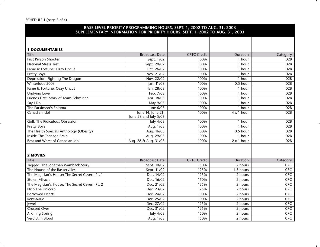#### **BASE LEVEL PRIORITY PROGRAMMING HOURS, SEPT. 1, 2002 TO AUG. 31, 2003 SUPPLEMENTARY INFORMATION FOR PRIORITY HOURS, SEPT. 1, 2002 TO AUG. 31, 2003**

| <b>1 DOCUMENTARIES</b><br>Title               | <b>Broadcast Date</b>                      | <b>CRTC Credit</b> | Duration          | Category |
|-----------------------------------------------|--------------------------------------------|--------------------|-------------------|----------|
| <b>First Person Shooter</b>                   | Sept. 1/02                                 | 100%               | 1 hour            | 02B      |
| National Stress Test                          | Sept. 20/02                                | 100%               | 1 hour            | 02B      |
| Fame & Fortune: Ozzy Uncut                    | Oct. 26/02                                 | 100%               | 1 hour            | 02B      |
| <b>Pretty Boys</b>                            | Nov. 21/02                                 | 100%               | 1 hour            | 02B      |
| Depression: Fighting The Dragon               | Nov. 22/02                                 | 100%               | 1 hour            | 02B      |
| Winterlude 2003                               | Jan. 11/03                                 | 100%               | 0.5 hour          | 02B      |
| Fame & Fortune: Ozzy Uncut                    | Jan. 28/03                                 | 100%               | 1 hour            | 02B      |
| <b>Undying Love</b>                           | Feb. 7/03                                  | 100%               | 1 hour            | 02B      |
| Friends First: Story of Team Schmirler        | Apr. 18/03                                 | 100%               | 1 hour            | 02B      |
| Say I Do                                      | May 9/03                                   | 100%               | 1 hour            | 02B      |
| The Parkinson's Enigma                        | June 6/03                                  | 100%               | 1 hour            | 02B      |
| Canadian Idol                                 | June 14, June 21,<br>June 28 and July 5/03 | 100%               | $4 \times 1$ hour | 02B      |
| Golf: The Ridiculous Obsession                | July 4/03                                  | 100%               | 1 hour            | 02B      |
| <b>Pretty Boys</b>                            | Aug. 1/03                                  | 100%               | 1 hour            | 02B      |
| The Health Specials Anthology (Obesity)       | Aug. 16/03                                 | 100%               | 0.5 hour          | 02B      |
| <b>Inside The Teenage Brain</b>               | Aug. 29/03                                 | 100%               | 1 hour            | 02B      |
| Best and Worst of Canadian Idol               | Aug. 28 & Aug. 31/03                       | 100%               | $2 \times 1$ hour | 02B      |
|                                               |                                            |                    |                   |          |
| 2 MOVIES                                      |                                            |                    |                   |          |
| <b>Title</b>                                  | <b>Broadcast Date</b>                      | <b>CRTC Credit</b> | Duration          | Category |
| Tagged: The Jonathan Wamback Story            | Sept. 10/02                                | 150%               | 2 hours           | 07C      |
| The Hound of the Baskervilles                 | Sept. 11/02                                | 125%               | 1.5 hours         | 07C      |
| The Magician's House: The Secret Cavern Pt. 1 | Dec. 14/02                                 | 125%               | 2 hours           | 07C      |
| <b>Stolen Miracle</b>                         | Dec. 16/02                                 | 150%               | 2 hours           | 07C      |
| The Magician's House: The Secret Cavern Pt. 2 | Dec. 21/02                                 | 125%               | 2 hours           | 07C      |
| Nico The Unicorn                              | Dec. 23/02                                 | 125%               | 2 hours           | 07C      |
| <b>Borrowed Hearts</b>                        | Dec. 24/02                                 | 100%               | 2 hours           | 07C      |
| Rent-A-Kid                                    | Dec. 25/02                                 | 100%               | 2 hours           | 07C      |
| Jewel                                         | Dec. 27/02                                 | 125%               | 2 hours           | 07C      |
| <b>Crossed Over</b>                           | Dec. 31/02                                 | 125%               | 2 hours           | 07C      |
| A Killing Spring                              | July 4/03                                  | 150%               | 2 hours           | 07C      |
| Verdict In Blood                              | Aug. 1/03                                  | 150%               | 2 hours           | 07C      |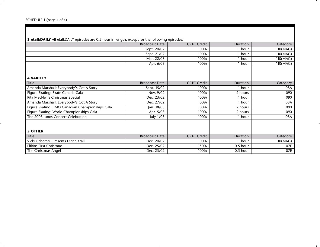#### SCHEDULE 1 (page 4 of 4)

**3 etalkDAILY** All etalkDAILY episodes are 0.5 hour in length, except for the following episodes:

| <b>Cumpler</b> An clainball oppours are 0.5 nour in length, except for the following episoues. |                       |                    |            |          |
|------------------------------------------------------------------------------------------------|-----------------------|--------------------|------------|----------|
|                                                                                                | <b>Broadcast Date</b> | <b>CRTC Credit</b> | Duration   | Category |
|                                                                                                | Sept. 20/02           | 100%               | 1 hour     | 110(MAG) |
|                                                                                                | Sept. 21/02           | 100%               | 1 hour     | 110(MAG) |
|                                                                                                | Mar. 22/03            | 100%               | 1 hour     | 110(MAG) |
|                                                                                                | Apr. 6/03             | 100%               | 1 hour     | 110(MAG) |
|                                                                                                |                       |                    |            |          |
|                                                                                                |                       |                    |            |          |
| <b>4 VARIETY</b>                                                                               |                       |                    |            |          |
| <b>Title</b>                                                                                   | <b>Broadcast Date</b> | <b>CRTC Credit</b> | Duration   | Category |
| Amanda Marshall: Everybody's Got A Story                                                       | Sept. 15/02           | 100%               | 1 hour     | 08A      |
| Figure Skating: Skate Canada Gala                                                              | Nov. 9/02             | 100%               | 2 hours    | 090      |
| Rita MacNeil's Christmas Special                                                               | Dec. 23/02            | 100%               | 1 hour     | 090      |
| Amanda Marshall: Everybody's Got A Story                                                       | Dec. 27/02            | 100%               | 1 hour     | 08A      |
| Figure Skating: BMO Canadian Championships Gala                                                | Jan. 18/03            | 100%               | 2 hours    | 090      |
| Figure Skating: World Championships Gala                                                       | Apr. 5/03             | 100%               | 2 hours    | 090      |
| The 2003 Junos Concert Celebration                                                             | July 1/03             | 100%               | 1 hour     | 08A      |
|                                                                                                |                       |                    |            |          |
|                                                                                                |                       |                    |            |          |
| <b>5 OTHER</b>                                                                                 |                       |                    |            |          |
| Title                                                                                          | <b>Broadcast Date</b> | <b>CRTC Credit</b> | Duration   | Category |
| Vicki Gabereau Presents Diana Krall                                                            | Dec. 20/02            | 100%               | 1 hour     | 110(MAG) |
| <b>Elfkins First Christmas</b>                                                                 | Dec. 25/02            | 150%               | $0.5$ hour | 07E      |
| The Christmas Angel                                                                            | Dec. 25/02            | 100%               | 0.5 hour   | 07E      |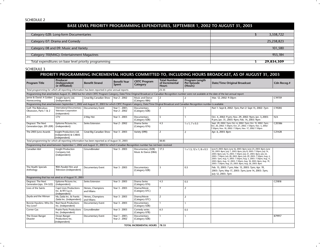### **BASE LEVEL PRIORITY PROGRAMMING EXPENDITURES, SEPTEMBER 1, 2002 TO AUGUST 31, 2003** Category 02B: Long-form Documentaries \$ 3,538,722 Category 07: Drama and Comedy 25,238,823 Category 08 and 09: Music and Variety 101,580 Category 110(MAG): Entertainment Magazines 955,184 Total expenditures on base level priority programming **1996** and the set of the set of the set of the set of the set of the set of the set of the set of the set of the set of the set of the set of the set of the set of the

#### SCHEDULE 3

|                                                                                               |                                                                             |                                                                                                                                                                                 |                                     |                                          |                                                       |                                                 | PRIORITY PROGRAMMING INCREMENTAL HOURS COMMITTED TO, INCLUDING HOURS BROADCAST, AS OF AUGUST 31, 2003                                                                                                                                                                                                                                                                                                                                                                  |             |
|-----------------------------------------------------------------------------------------------|-----------------------------------------------------------------------------|---------------------------------------------------------------------------------------------------------------------------------------------------------------------------------|-------------------------------------|------------------------------------------|-------------------------------------------------------|-------------------------------------------------|------------------------------------------------------------------------------------------------------------------------------------------------------------------------------------------------------------------------------------------------------------------------------------------------------------------------------------------------------------------------------------------------------------------------------------------------------------------------|-------------|
| <b>Program Title</b>                                                                          | Producer<br>(Independent<br>or Affiliated)                                  | <b>Benefit Strand</b>                                                                                                                                                           | <b>Benefit Year</b><br><b>Spent</b> | <b>CRTC Program</b><br>Category          | <b>Total Number</b><br>of Incremental<br><b>Hours</b> | Program Length<br>Per Episode<br>(Hours)        | <b>Date/Time Original Broadcast</b>                                                                                                                                                                                                                                                                                                                                                                                                                                    | Cdn Recog.# |
|                                                                                               |                                                                             | Total programming for which all reporting information has been reported in prior annual reports                                                                                 |                                     |                                          | 23.35                                                 |                                                 |                                                                                                                                                                                                                                                                                                                                                                                                                                                                        |             |
|                                                                                               |                                                                             |                                                                                                                                                                                 |                                     |                                          |                                                       |                                                 | Programming that aired before August 31, 2002 but for which CRTC Program Category, Date/Time Original Broadcast or Canadian Recognition number were not available at the date of the last annual report                                                                                                                                                                                                                                                                |             |
| Jamie & David: A Golden<br>Homecoming                                                         | Insight Sports Ltd.<br>(independent)                                        | Great Big Canadian Show                                                                                                                                                         | Year 2 - 2002                       | Music and Dance<br>(Category 08A)        | 2                                                     | $\overline{2}$                                  | Mar. 12, 2002: 9:30pm                                                                                                                                                                                                                                                                                                                                                                                                                                                  | C19759      |
|                                                                                               |                                                                             | Programming that aired between September 1, 2002 and August 31, 2003 for which CRTC Program Category, Date/Time Original Broadcast and Canadian Recognition number is available |                                     |                                          |                                                       |                                                 |                                                                                                                                                                                                                                                                                                                                                                                                                                                                        |             |
| <b>Golf: The Ridiculous</b><br>Obsession, Parts 1 & 2                                         | International Documentary<br><b>Television Corporation</b><br>(independent) | Documentary Event                                                                                                                                                               | Year 1 - 2001;<br>Year 2 - 2002     | Documentary<br>(Category 02B)            |                                                       |                                                 | Part 1: Sept 8, 2002: 7pm; Part 2: Sept 15, 2002: 7pm                                                                                                                                                                                                                                                                                                                                                                                                                  | C19285      |
| 21C                                                                                           | CTV                                                                         | 2-Way Hot                                                                                                                                                                       | Year 3 - 2003                       | Documentary<br>(Category 02B)            | $\overline{5}$                                        |                                                 | Oct. 4, 2002: 9 pm; Nov. 29, 2002: 9pm; Jan. 3, 2003:<br>9 pm; Jan. 31, 2003: 9pm; Feb. 14, 2003: 9pm                                                                                                                                                                                                                                                                                                                                                                  | N/A         |
| Degrassi: The Next<br>Generation (eps. 201-209)                                               | Epitome Pictures Inc.<br>(independent)                                      | Series Extension                                                                                                                                                                | Year 2 - 2002                       | Drama Series<br>(Category 07A)           | 4.5                                                   | $1 \times 1$ ; $7 \times 0.5$                   | Sept. 29, 2002: 7pm; Oct. 6, 2002: 7pm; Oct. 13, 2002: 7pm;<br>Oct. 20, 2002: 7:30pm; Oct. 27, 2002: 7:30pm; Nov. 3, 2002:<br>7:30pm; Nov. 10, 2002: 7:30pm; Nov. 17, 2002 7:30pm                                                                                                                                                                                                                                                                                      | C20386      |
| The 2003 Juno Awards                                                                          | Insight Productions Ltd.<br>(independent) & CARAS<br>(independent)          | <b>Great Big Canadian Show</b>                                                                                                                                                  | Year 3 - 2003                       | Variety (090)                            | $\overline{2}$                                        | $\overline{2}$                                  | Apr. 6, 2003: 8pm                                                                                                                                                                                                                                                                                                                                                                                                                                                      | C21428      |
| Total programming for which all reporting information has been reported as of August 31, 2003 |                                                                             |                                                                                                                                                                                 |                                     |                                          | 38.85                                                 |                                                 |                                                                                                                                                                                                                                                                                                                                                                                                                                                                        |             |
|                                                                                               |                                                                             | Programming that aired between September 1, 2002 and August 31, 2003 for which Canadian Recognition number has not been received                                                |                                     |                                          |                                                       |                                                 |                                                                                                                                                                                                                                                                                                                                                                                                                                                                        |             |
| Canadian Idol                                                                                 | Insight Production<br>Company Ltd.<br>(independent)                         | Groundbreaker                                                                                                                                                                   | Year 3 - 2003                       | Documentary (02B)<br>Music & Dance (08A) | 17.5                                                  | $1 \times 1.5$ ; $12 \times 1$ ; $8 \times 0.5$ | June 9, 2003: 8pm; June 16, 2003: 8pm; June 23, 2003: 8pm; June<br>30, 2003: 8pm; July 7, 2003: 8pm; July 8, 2003: 7:30pm; July 14,<br>2003: 8pm; July 15, 2003: 7:30pm; July 21, 2003: 8pm; July 22,<br>2003: 7:30pm; July 28, 2003: 8pm; July 29, 2003: 7:30pm; Aug. 4,<br>2003: 7pm; Aug. 4, 2003: 7:30pm; Aug. 5, 2003: 7:30pm; Aug. 11,<br>2003: 8pm; Aug. 12, 2003: 7:30pm; Aug. 18, 2003: 8pm; Aug. 19,<br>2003: 7:30pm; Aug. 25, 2003: 8pm; Aug. 26, 2003: 8pm |             |
| The Health Specials<br>Anthology                                                              | 90th Parallel Film and<br>Television (independent)                          | Documentary Event                                                                                                                                                               | Year 3 - 2003                       | Documentary<br>(Category 02B)            | 3                                                     | 0.5                                             | Feb. 15, 2003: 7 pm; Mar. 15, 2003: 7pm; Apr. 19,<br>2003: 7pm; May 17, 2003: 7pm; June 14, 2003: 7pm;<br>July 12, 2003: 7pm                                                                                                                                                                                                                                                                                                                                           |             |
| Programming that has not aired as of August 31, 2003                                          |                                                                             |                                                                                                                                                                                 |                                     |                                          |                                                       |                                                 |                                                                                                                                                                                                                                                                                                                                                                                                                                                                        |             |
| Degrassi: The Next<br>Generation (eps. 314-322)                                               | Epitome Pictures Inc.<br>(independent)                                      | Series Extension                                                                                                                                                                | Year 3 - 2003                       | Drama Series<br>(Category 07A)           | 4.5                                                   | 0.5                                             |                                                                                                                                                                                                                                                                                                                                                                                                                                                                        | C21818      |
| Lives of the Saints                                                                           | Capri Lives Productions<br>Inc. & RTI S.p.A.<br>(independent)               | Heroes, Champions<br>and Villains                                                                                                                                               | Year 3 - 2003                       | Drama/Movie<br>(Category 07C)            | $\overline{4}$                                        | $\overline{2}$                                  |                                                                                                                                                                                                                                                                                                                                                                                                                                                                        |             |
| Zeyda and the Hitman                                                                          | My Zaida Inc. & Frantic<br>Zaida Inc. (independent)                         | Heroes, Champions<br>and Villains                                                                                                                                               | Year 3 - 2003                       | Drama/Movie<br>(Category 07C)            | 2                                                     | $\overline{2}$                                  |                                                                                                                                                                                                                                                                                                                                                                                                                                                                        |             |
| Ronnie Hawkins: Who Do<br>You Love?                                                           | <b>Real Hawk Productions</b><br>Inc. (independent)                          | Documentary Event                                                                                                                                                               | Year 3 - 2003                       | Documentary<br>(Category 02B)            |                                                       |                                                 |                                                                                                                                                                                                                                                                                                                                                                                                                                                                        |             |
| Corner Gas                                                                                    | Prairie Pants Productions<br>Inc. (independent)                             | Groundbreaker                                                                                                                                                                   | Year 3 - 2003                       | Comedy series<br>(Category 07B)          | 6.5                                                   | 0.5                                             |                                                                                                                                                                                                                                                                                                                                                                                                                                                                        |             |
| The Ocean Ranger<br><b>Disaster</b>                                                           | Ocean Ranger<br>Productions Inc.<br>(independent)                           | Documentary Event                                                                                                                                                               | Year 1 - 2001;<br>Year 2 - 2002     | Documentary<br>(Category 02B)            | $\mathbf{1}$                                          |                                                 |                                                                                                                                                                                                                                                                                                                                                                                                                                                                        | B79917      |
|                                                                                               |                                                                             |                                                                                                                                                                                 |                                     | TOTAL INCREMENTAL HOURS                  | 78.35                                                 |                                                 |                                                                                                                                                                                                                                                                                                                                                                                                                                                                        |             |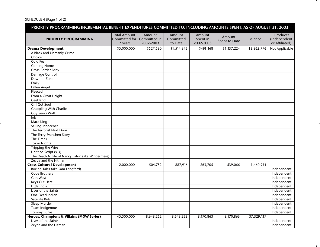#### SCHEDULE 4 (Page 1 of 2)

#### **PRIORITY PROGRAMMING INCREMENTAL BENEFIT EXPENDITURES COMMITTED TO, INCLUDING AMOUNTS SPENT, AS OF AUGUST 31, 2003**

| <b>PRIORITY PROGRAMMING</b>                          | <b>Total Amount</b><br>Committed for<br>7 years | Amount<br>Committed in<br>2002-2003 | Amount<br>Committed<br>to Date | Amount<br>Spent in<br>2002-2003 | Amount<br>Spent to Date | <b>Balance</b> | Producer<br>(Independent<br>or Affiliated) |
|------------------------------------------------------|-------------------------------------------------|-------------------------------------|--------------------------------|---------------------------------|-------------------------|----------------|--------------------------------------------|
| <b>Drama Development</b>                             | \$5,000,000                                     | \$527,580                           | \$1,514,845                    | \$491,168                       | \$1,137,224             | \$3,862,776    | Not Applicable                             |
| A Black and Unmanly Crime                            |                                                 |                                     |                                |                                 |                         |                |                                            |
| Choice                                               |                                                 |                                     |                                |                                 |                         |                |                                            |
| Cold Fear                                            |                                                 |                                     |                                |                                 |                         |                |                                            |
| <b>Coming Home</b>                                   |                                                 |                                     |                                |                                 |                         |                |                                            |
| Cross Border Baby                                    |                                                 |                                     |                                |                                 |                         |                |                                            |
| Damage Control                                       |                                                 |                                     |                                |                                 |                         |                |                                            |
| Down to Zero                                         |                                                 |                                     |                                |                                 |                         |                |                                            |
| Emily                                                |                                                 |                                     |                                |                                 |                         |                |                                            |
| <b>Fallen Angel</b>                                  |                                                 |                                     |                                |                                 |                         |                |                                            |
| Fleeced                                              |                                                 |                                     |                                |                                 |                         |                |                                            |
| From a Great Height                                  |                                                 |                                     |                                |                                 |                         |                |                                            |
| Geekland                                             |                                                 |                                     |                                |                                 |                         |                |                                            |
| <b>Girl Got Soul</b>                                 |                                                 |                                     |                                |                                 |                         |                |                                            |
| <b>Grappling With Charlie</b>                        |                                                 |                                     |                                |                                 |                         |                |                                            |
| <b>Guy Seeks Wolf</b>                                |                                                 |                                     |                                |                                 |                         |                |                                            |
| $\overline{$ lob                                     |                                                 |                                     |                                |                                 |                         |                |                                            |
| <b>Mack King</b>                                     |                                                 |                                     |                                |                                 |                         |                |                                            |
| Selling Innocence                                    |                                                 |                                     |                                |                                 |                         |                |                                            |
| The Terrorist Next Door                              |                                                 |                                     |                                |                                 |                         |                |                                            |
| The Terry Evanshen Story                             |                                                 |                                     |                                |                                 |                         |                |                                            |
| The Times                                            |                                                 |                                     |                                |                                 |                         |                |                                            |
| <b>Tokyo Nights</b>                                  |                                                 |                                     |                                |                                 |                         |                |                                            |
| Tripping the Wire                                    |                                                 |                                     |                                |                                 |                         |                |                                            |
| Untitled Script (x 3)                                |                                                 |                                     |                                |                                 |                         |                |                                            |
| The Death & Life of Nancy Eaton (aka Windermere)     |                                                 |                                     |                                |                                 |                         |                |                                            |
| Zeyda and the Hitman                                 |                                                 |                                     |                                |                                 |                         |                |                                            |
| <b>Cross Cultural Development</b>                    | 2,000,000                                       | 504,752                             | 887,916                        | 263,705                         | 539,066                 | 1,460,934      |                                            |
| <b>Boxing Tales (aka Sam Langford)</b>               |                                                 |                                     |                                |                                 |                         |                | Independent                                |
| Code Brothers                                        |                                                 |                                     |                                |                                 |                         |                | Independent                                |
| Goh West                                             |                                                 |                                     |                                |                                 |                         |                | Independent                                |
| <b>Keys Cut Here</b>                                 |                                                 |                                     |                                |                                 |                         |                | Independent                                |
| Little India                                         |                                                 |                                     |                                |                                 |                         |                | Independent                                |
| Lives of the Saints                                  |                                                 |                                     |                                |                                 |                         |                | Independent                                |
| One Dead Indian                                      |                                                 |                                     |                                |                                 |                         |                | Independent                                |
| <b>Satellite Kids</b>                                |                                                 |                                     |                                |                                 |                         |                | Independent                                |
| Sleep Murder                                         |                                                 |                                     |                                |                                 |                         |                | Independent                                |
| Team Indigenous                                      |                                                 |                                     |                                |                                 |                         |                | Independent                                |
| <b>Tommy Burns</b>                                   |                                                 |                                     |                                |                                 |                         |                | Independent                                |
| <b>Heroes, Champions &amp; Villains (MOW Series)</b> | 45,500,000                                      | 8,648,252                           | 8,648,252                      | 8,170,863                       | 8,170,863               | 37,329,137     |                                            |
| Lives of the Saints                                  |                                                 |                                     |                                |                                 |                         |                | Independent                                |
| Zeyda and the Hitman                                 |                                                 |                                     |                                |                                 |                         |                | Independent                                |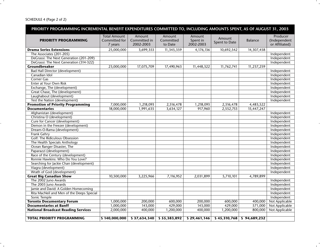#### **PRIORITY PROGRAMMING INCREMENTAL BENEFIT EXPENDITURES COMMITTED TO, INCLUDING AMOUNTS SPENT, AS OF AUGUST 31, 2003**

| <b>PRIORITY PROGRAMMING</b>                | <b>Total Amount</b><br>Committed for | Amount<br>Committed in | Amount<br>Committed | Amount<br>Spent in | Amount        | <b>Balance</b>             | Producer<br>(Independent |
|--------------------------------------------|--------------------------------------|------------------------|---------------------|--------------------|---------------|----------------------------|--------------------------|
|                                            | 7 years                              | 2002-2003              | to Date             | 2002-2003          | Spent to Date |                            | or Affiliated)           |
| <b>Drama Series Extensions</b>             | 25,000,000                           | 3,699,353              | 11,345,359          | 4,176,136          | 10,692,542    | 14,307,458                 |                          |
| The Associates (201-205)                   |                                      |                        |                     |                    |               |                            | Independent              |
| DeGrassi: The Next Generation (201-209)    |                                      |                        |                     |                    |               |                            | Independent              |
| DeGrassi: The Next Generation (314-322)    |                                      |                        |                     |                    |               |                            | Independent              |
| Groundbreaker                              | 23,000,000                           | 17,075,709             | 17,490,963          | 11,448,322         | 11,762,741    | 11,237,259                 |                          |
| <b>Bad Hall Director (development)</b>     |                                      |                        |                     |                    |               |                            | Independent              |
| Canadian Idol                              |                                      |                        |                     |                    |               |                            | Independent              |
| Corner Gas                                 |                                      |                        |                     |                    |               |                            | Independent              |
| Enter at Your Own Risk                     |                                      |                        |                     |                    |               |                            | Independent              |
| Exchange, The (development)                |                                      |                        |                     |                    |               |                            | Independent              |
| Great Chase, The (development)             |                                      |                        |                     |                    |               |                            | Independent              |
| Laughabout (development)                   |                                      |                        |                     |                    |               |                            | Independent              |
| Test the Nation (development)              |                                      |                        |                     |                    |               |                            | Independent              |
| <b>Promotion of Priority Programming</b>   | 7,000,000                            | 1,218,093              | 2,516,478           | 1,218,093          | 2,516,478     | 4,483,522                  |                          |
| <b>Documentaries</b>                       | 18,000,000                           | 1,991,635              | 3,634,127           | 917,960            | 2,552,753     | 15,447,247                 |                          |
| Afghanistan (development)                  |                                      |                        |                     |                    |               |                            | Independent              |
| Christina O (development)                  |                                      |                        |                     |                    |               |                            | Independent              |
| <b>Cure for Cancer (development)</b>       |                                      |                        |                     |                    |               |                            | Independent              |
| Demon in the Freezer (development)         |                                      |                        |                     |                    |               |                            | Independent              |
| Dream-O-Rama (development)                 |                                      |                        |                     |                    |               |                            | Independent              |
| <b>Frank Gehry</b>                         |                                      |                        |                     |                    |               |                            | Independent              |
| <b>Golf: The Ridiculous Obsession</b>      |                                      |                        |                     |                    |               |                            | Independent              |
| The Health Specials Anthology              |                                      |                        |                     |                    |               |                            | Independent              |
| Ocean Ranger Disaster, The                 |                                      |                        |                     |                    |               |                            | Independent              |
| Paparazzi (development)                    |                                      |                        |                     |                    |               |                            | Independent              |
| Race of the Century (development)          |                                      |                        |                     |                    |               |                            | Independent              |
| Ronnie Hawkins: Who Do You Love?           |                                      |                        |                     |                    |               |                            | Independent              |
| Searching for Jackie Chan (development)    |                                      |                        |                     |                    |               |                            | Independent              |
| Viagra (development)                       |                                      |                        |                     |                    |               |                            | Independent              |
| Wrath of God (development)                 |                                      |                        |                     |                    |               |                            | Independent              |
| <b>Great Big Canadian Show</b>             | 10,500,000                           | 3,225,966              | 7,116,952           | 2,031,899          | 5,710,101     | 4,789,899                  |                          |
| The 2002 Juno Awards                       |                                      |                        |                     |                    |               |                            | Independent              |
| The 2003 Juno Awards                       |                                      |                        |                     |                    |               |                            | Independent              |
| Jamie and David: A Golden Homecoming       |                                      |                        |                     |                    |               |                            | Independent              |
| Rita MacNeil and Men of the Deeps Special  |                                      |                        |                     |                    |               |                            | Independent              |
| Sonic Temple                               |                                      |                        |                     |                    |               |                            | Independent              |
| <b>Toronto Documentary Forum</b>           | 1,000,000                            | 200,000                | 600,000             | 200,000            | 600,000       | 400,000                    | Not Applicable           |
| <b>Documentaries at Banff</b>              | 1,000,000                            | 143,000                | 429,000             | 143,000            | 429,000       | 571,000                    | Not Applicable           |
| <b>National Broadcast Reading Services</b> | 2,000,000                            | 400,000                | 1,200,000           | 400,000            | 1,200,000     | 800,000                    | Not Applicable           |
|                                            |                                      |                        |                     |                    |               |                            |                          |
| <b>TOTAL PRIORITY PROGRAMMING</b>          | \$140,000,000                        | \$37,634,340           | \$55,383,892        | \$29,461,146       |               | $$45,310,768$ \$94,689,232 |                          |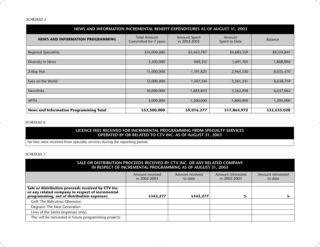| NEWS AND INFORMATION INCREMENTAL BENEFIT EXPENDITURES AS OF AUGUST 31, 2003 |                                              |                                     |                         |              |  |  |
|-----------------------------------------------------------------------------|----------------------------------------------|-------------------------------------|-------------------------|--------------|--|--|
| <b>NEWS AND INFORMATION PROGRAMMING</b>                                     | <b>Total Amount</b><br>Committed for 7 years | <b>Amount Spent</b><br>in 2002-2003 | Amount<br>Spent to Date | Balance      |  |  |
| <b>Regional Specialists</b>                                                 | \$14,000,000                                 | \$2,463,787                         | \$4,685,159             | \$9,314,841  |  |  |
| Diversity in News                                                           | 3,500,000                                    | 969,312                             | 1,691,104               | 1,808,896    |  |  |
| 2-Way Hot                                                                   | 11,000,000                                   | 1,191,825                           | 2,964,530               | 8,035,470    |  |  |
| Eyes on the World                                                           | 12,000,000                                   | 1,507,510                           | 3,361,241               | 8,638,759    |  |  |
| Newslinks                                                                   | 10,000,000                                   | 1,683,843                           | 3,362,938               | 6,637,062    |  |  |
| <b>APTN</b>                                                                 | 3,000,000                                    | 1,200,000                           | 1,800,000               | 1,200,000    |  |  |
| <b>News and Information Programming Total</b>                               | \$53,500,000                                 | \$9,016,277                         | \$17,864,972            | \$35,635,028 |  |  |

#### SCHEDULE 6

#### **LICENCE FEES RECEIVED FOR INCREMENTAL PROGRAMMING FROM SPECIALTY SERVICES OPERATED BY OR RELATED TO CTV INC. AS OF AUGUST 31, 2003**

No fees were received from specialty services during the reporting period.

#### SCHEDULE 7

| SALE OR DISTRIBUTION PROCEEDS RECEIVED BY CTV INC. OR ANY RELATED COMPANY<br>IN RESPECT OF INCREMENTAL PROGRAMMING AS OF AUGUST 31, 2003             |           |           |     |  |  |  |  |
|------------------------------------------------------------------------------------------------------------------------------------------------------|-----------|-----------|-----|--|--|--|--|
| Amount received<br>Amount reinvested<br>Amount received<br>Amount reinvested<br>to date<br>in 2002-2003<br>in 2002-2003<br>to date                   |           |           |     |  |  |  |  |
| Sale or distribution proceeds received by CTV Inc.<br>or any related company in respect of incremental<br>programming, net of distribution expenses: | \$343,277 | \$343,277 | \$- |  |  |  |  |
| Golf: The Ridiculous Obsession                                                                                                                       |           |           |     |  |  |  |  |
| Degrassi: The Next Generation                                                                                                                        |           |           |     |  |  |  |  |
| Lives of the Saints (expenses only)                                                                                                                  |           |           |     |  |  |  |  |
| This will be reinvested in future programming projects.                                                                                              |           |           |     |  |  |  |  |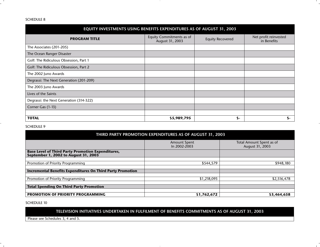| EQUITY INVESTMENTS USING BENEFITS EXPENDITURES AS OF AUGUST 31, 2003 |                                             |                         |                                      |  |  |  |
|----------------------------------------------------------------------|---------------------------------------------|-------------------------|--------------------------------------|--|--|--|
| <b>PROGRAM TITLE</b>                                                 | Equity Commitments as of<br>August 31, 2003 | <b>Equity Recovered</b> | Net profit reinvested<br>in Benefits |  |  |  |
| The Associates (201-205)                                             |                                             |                         |                                      |  |  |  |
| The Ocean Ranger Disaster                                            |                                             |                         |                                      |  |  |  |
| Golf: The Ridiculous Obsession, Part 1                               |                                             |                         |                                      |  |  |  |
| Golf: The Ridiculous Obsession, Part 2                               |                                             |                         |                                      |  |  |  |
| The 2002 Juno Awards                                                 |                                             |                         |                                      |  |  |  |
| Degrassi: The Next Generation (201-209)                              |                                             |                         |                                      |  |  |  |
| The 2003 Juno Awards                                                 |                                             |                         |                                      |  |  |  |
| Lives of the Saints                                                  |                                             |                         |                                      |  |  |  |
| Degrassi: the Next Generation (314-322)                              |                                             |                         |                                      |  |  |  |
| Corner Gas (1-13)                                                    |                                             |                         |                                      |  |  |  |
|                                                                      |                                             |                         |                                      |  |  |  |
| <b>TOTAL</b>                                                         | \$5,989,795                                 | \$-                     | $\mathbf{s}$ –                       |  |  |  |

#### SCHEDULE 9

| THIRD PARTY PROMOTION EXPENDITURES AS OF AUGUST 31, 2003                                  |                              |                                             |  |  |  |  |  |
|-------------------------------------------------------------------------------------------|------------------------------|---------------------------------------------|--|--|--|--|--|
|                                                                                           | Amount Spent<br>In 2002-2003 | Total Amount Spent as of<br>August 31, 2003 |  |  |  |  |  |
| Base Level of Third Party Promotion Expenditures,<br>September 1, 2002 to August 31, 2003 |                              |                                             |  |  |  |  |  |
| Promotion of Priority Programming                                                         | \$544.579                    | \$948,180                                   |  |  |  |  |  |
| <b>Incremental Benefits Expenditures On Third Party Promotion</b>                         |                              |                                             |  |  |  |  |  |
| Promotion of Priority Programming                                                         | \$1,218,093                  | \$2,516,478                                 |  |  |  |  |  |
| <b>Total Spending On Third Party Promotion</b>                                            |                              |                                             |  |  |  |  |  |
| <b>PROMOTION OF PRIORITY PROGRAMMING</b>                                                  | \$1,762,672                  | \$3,464,658                                 |  |  |  |  |  |

SCHEDULE 10

### **TELEVISION INITIATIVES UNDERTAKEN IN FULFILMENT OF BENEFITS COMMITMENTS AS OF AUGUST 31, 2003**

Please see Schedules 3, 4 and 5.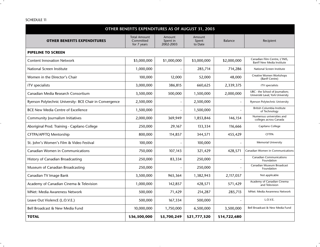| OTHER BENEFITS EXPENDITURES AS OF AUGUST 31, 2003        |                                                 |                                 |                            |                |                                                                      |
|----------------------------------------------------------|-------------------------------------------------|---------------------------------|----------------------------|----------------|----------------------------------------------------------------------|
| <b>OTHER BENEFITS EXPENDITURES</b>                       | <b>Total Amount</b><br>Committed<br>for 7 years | Amount<br>Spent in<br>2002-2003 | Amount<br>Spent<br>to Date | <b>Balance</b> | Recipient                                                            |
| <b>PIPELINE TO SCREEN</b>                                |                                                 |                                 |                            |                |                                                                      |
| <b>Content Innovation Network</b>                        | \$5,000,000                                     | \$1,000,000                     | \$3,000,000                | \$2,000,000    | Canadian Film Centre, L'INIS,<br>Banff New Media Institute           |
| National Screen Institute                                | 1,000,000                                       |                                 | 285,714                    | 714,286        | National Screen Institute                                            |
| Women in the Director's Chair                            | 100,000                                         | 12,000                          | 52,000                     | 48,000         | Creative Women Workshops<br>(Banff Centre)                           |
| iTV specialists                                          | 3,000,000                                       | 386,815                         | 660,625                    | 2,339,375      | iTV specialists                                                      |
| Canadian Media Research Consortium                       | 3,500,000                                       | 500,000                         | 1,500,000                  | 2,000,000      | UBC - the School of Journalism;<br>Université Laval; York University |
| Ryerson Polytechnic University: BCE Chair in Convergence | 2,500,000                                       |                                 | 2,500,000                  |                | Ryerson Polytechnic University                                       |
| <b>BCE New Media Centre of Excellence</b>                | 1,500,000                                       |                                 | 1,500,000                  |                | British Columbia Institute<br>of Technology                          |
| Community Journalism Initiatives                         | 2,000,000                                       | 369,949                         | 1,853,846                  | 146,154        | Numerous universities and<br>colleges across Canada                  |
| Aboriginal Prod. Training - Capilano College             | 250,000                                         | 29,167                          | 133,334                    | 116,666        | Capilano College                                                     |
| CFTPA/APFTQ Mentorship                                   | 800,000                                         | 114,857                         | 344,571                    | 455,429        | <b>CFTPA</b>                                                         |
| St. John's Women's Film & Video Festival                 | 100,000                                         |                                 | 100,000                    |                | <b>Memorial University</b>                                           |
| Canadian Women in Communications                         | 750,000                                         | 107,143                         | 321,429                    | 428,571        | Canadian Women in Communications                                     |
| History of Canadian Broadcasting                         | 250,000                                         | 83,334                          | 250,000                    |                | <b>Canadian Communications</b><br>Foundation                         |
| Museum of Canadian Broadcasting                          | 250,000                                         |                                 | 250,000                    |                | Canadian Museum Broadcast<br>Foundation                              |
| Canadian TV Image Bank                                   | 3,500,000                                       | 965,364                         | 1,382,943                  | 2,117,057      | Not applicable                                                       |
| Academy of Canadian Cinema & Television                  | 1,000,000                                       | 142,857                         | 428,571                    | 571,429        | Academy of Canadian Cinema<br>and Television                         |
| <b>MNet: Media Awareness Network</b>                     | 500,000                                         | 71,429                          | 214,287                    | 285,713        | MNet: Media Awareness Network                                        |
| Leave Out ViolencE (L.O.V.E.)                            | 500,000                                         | 167,334                         | 500,000                    |                | L.O.V.E.                                                             |
| Bell Broadcast & New Media Fund                          | 10,000,000                                      | 1,750,000                       | 6,500,000                  | 3,500,000      | Bell Broadcast & New Media Fund                                      |
| <b>TOTAL</b>                                             | \$36,500,000                                    | \$5,700,249                     | \$21,777,320               | \$14,722,680   |                                                                      |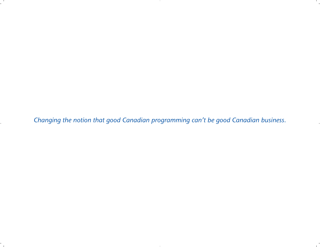*Changing the notion that good Canadian programming can't be good Canadian business.*